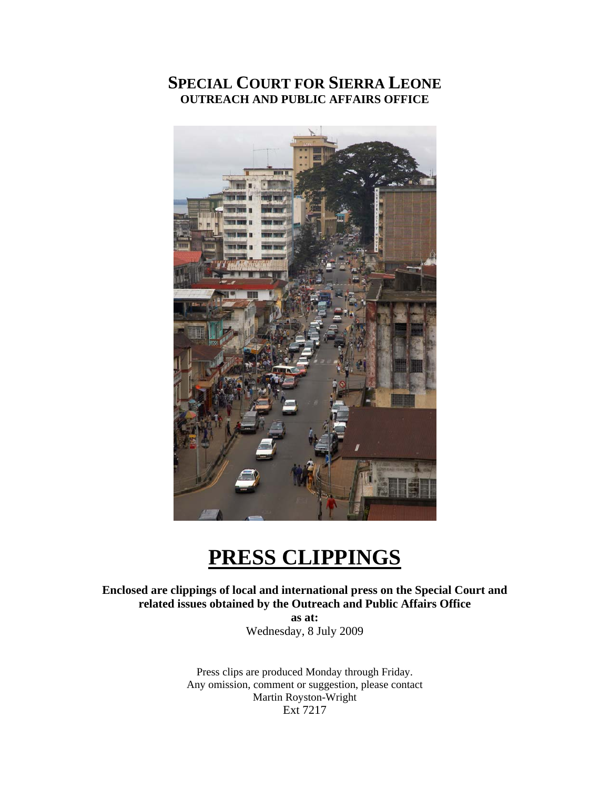# **SPECIAL COURT FOR SIERRA LEONE OUTREACH AND PUBLIC AFFAIRS OFFICE**



# **PRESS CLIPPINGS**

**Enclosed are clippings of local and international press on the Special Court and related issues obtained by the Outreach and Public Affairs Office as at:** 

Wednesday, 8 July 2009

Press clips are produced Monday through Friday. Any omission, comment or suggestion, please contact Martin Royston-Wright Ext 7217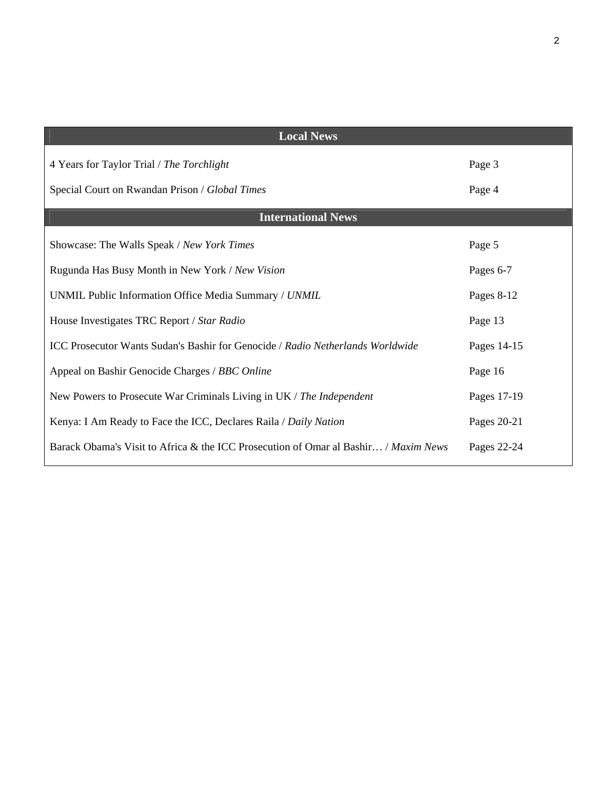| <b>Local News</b>                                                                   |             |
|-------------------------------------------------------------------------------------|-------------|
| 4 Years for Taylor Trial / The Torchlight                                           | Page 3      |
| Special Court on Rwandan Prison / Global Times                                      | Page 4      |
| <b>International News</b>                                                           |             |
| Showcase: The Walls Speak / New York Times                                          | Page 5      |
| Rugunda Has Busy Month in New York / New Vision                                     | Pages 6-7   |
| UNMIL Public Information Office Media Summary / UNMIL                               | Pages 8-12  |
| House Investigates TRC Report / Star Radio                                          | Page 13     |
| ICC Prosecutor Wants Sudan's Bashir for Genocide / Radio Netherlands Worldwide      | Pages 14-15 |
| Appeal on Bashir Genocide Charges / BBC Online                                      | Page 16     |
| New Powers to Prosecute War Criminals Living in UK / The Independent                | Pages 17-19 |
| Kenya: I Am Ready to Face the ICC, Declares Raila / Daily Nation                    | Pages 20-21 |
| Barack Obama's Visit to Africa & the ICC Prosecution of Omar al Bashir / Maxim News | Pages 22-24 |
|                                                                                     |             |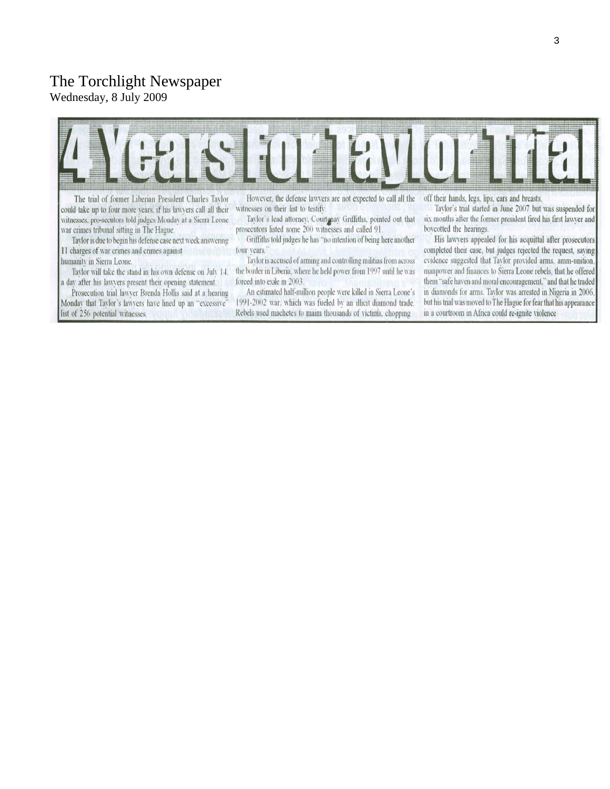#### The Torchlight Newspaper

Wednesday, 8 July 2009



The trial of former Liberian President Charles Taylor could take up to four more vears, if his lawvers call all their witnesses, pro-secutors told judges Mondav at a Sierra Leone war crimes tribunal sitting in The Hague.

Taylor is due to begin his defense case next week answering 11 charges of war crimes and crimes against humanity in Sierra Leone.

Taylor will take the stand in his own defense on July 14. a day after his lawyers present their opening statement.

Prosecution trial lawver Brenda Hollis said at a hearing Monday that Taylor's lawyers have lined up an "excessive" list of 256 potential witnesses.

However, the defense lawyers are not expected to call all the witnesses on their list to testify.

Taylor's lead attorney, Courtenay Griffiths, pointed out that prosecutors listed some 200 witnesses and called 91.

Griffiths told judges he has "no intention of being here another four years.

Taylor is accused of arming and controlling militias from across the border in Liberia, where he held power from 1997 until he was forced into exile in 2003.

An estimated half-million people were killed in Sierra Leone's 1991-2002 war, which was fueled by an illicit diamond trade. Rebels used machetes to maim thousands of victims, chopping

off their hands, legs, lips, ears and breasts.

Taylor's trial started in June 2007 but was suspended for six months after the former president fired his first lawyer and bovcotted the hearings.

His lawyers appealed for his acquittal after prosecutors completed their case, but judges rejected the request, saving evidence suggested that Taylor provided arms, amm-unition, manpower and finances to Sierra Leone rebels, that he offered them "safe haven and moral encouragement," and that he traded in diamonds for arms. Taylor was arrested in Nigeria in 2006, but his trial was moved to The Hague for fear that his appearance in a courtroom in Africa could re-ignite violence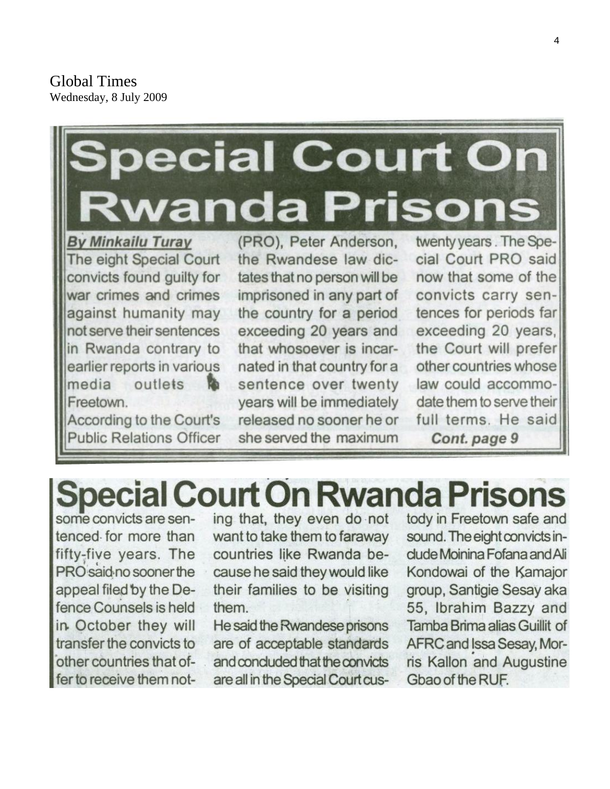Global Times Wednesday, 8 July 2009

# **ecial Court On vanda Prisons**

**By Minkailu Turay** The eight Special Court convicts found guilty for war crimes and crimes against humanity may not serve their sentences in Rwanda contrary to earlier reports in various media outlets Тò Freetown.

According to the Court's **Public Relations Officer**  (PRO), Peter Anderson, the Rwandese law dictates that no person will be imprisoned in any part of the country for a period exceeding 20 years and that whosoever is incarnated in that country for a sentence over twenty years will be immediately released no sooner he or she served the maximum

twenty years. The Special Court PRO said now that some of the convicts carry sentences for periods far exceeding 20 years, the Court will prefer other countries whose law could accommodate them to serve their full terms. He said Cont. page 9

# **Special Court On Rwanda Prisons**

some convicts are sentenced for more than fifty-five years. The PRO said no sooner the appeal filed by the Defence Counsels is held in October they will transfer the convicts to other countries that offer to receive them noting that, they even do not want to take them to faraway countries like Rwanda because he said they would like their families to be visiting them.

He said the Rwandese prisons are of acceptable standards and concluded that the convicts are all in the Special Court custody in Freetown safe and sound. The eight convicts indude Moinina Fofana and Ali Kondowai of the Kamajor group, Santigie Sesay aka 55, Ibrahim Bazzy and Tamba Brima alias Guillit of AFRC and Issa Sesay, Morris Kallon and Augustine Gbao of the RUF.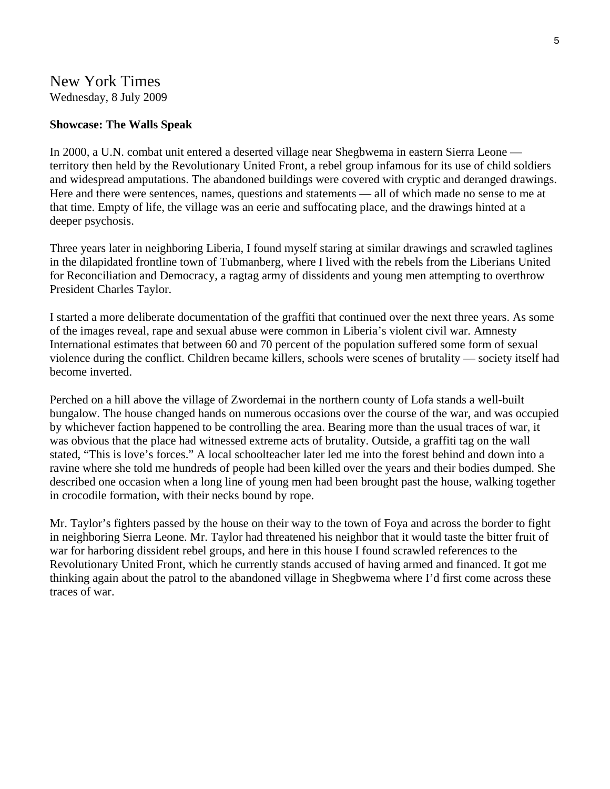#### New York Times Wednesday, 8 July 2009

#### **Showcase: The Walls Speak**

In 2000, a U.N. combat unit entered a deserted village near Shegbwema in eastern Sierra Leone territory then held by the Revolutionary United Front, a rebel group infamous for its use of child soldiers and widespread amputations. The abandoned buildings were covered with cryptic and deranged drawings. Here and there were sentences, names, questions and statements — all of which made no sense to me at that time. Empty of life, the village was an eerie and suffocating place, and the drawings hinted at a deeper psychosis.

Three years later in neighboring Liberia, I found myself staring at similar drawings and scrawled taglines in the dilapidated frontline town of Tubmanberg, where I lived with the rebels from the Liberians United for Reconciliation and Democracy, a ragtag army of dissidents and young men attempting to overthrow President Charles Taylor.

I started a more deliberate documentation of the graffiti that continued over the next three years. As some of the images reveal, rape and sexual abuse were common in Liberia's violent civil war. Amnesty International estimates that between 60 and 70 percent of the population suffered some form of sexual violence during the conflict. Children became killers, schools were scenes of brutality — society itself had become inverted.

Perched on a hill above the village of Zwordemai in the northern county of Lofa stands a well-built bungalow. The house changed hands on numerous occasions over the course of the war, and was occupied by whichever faction happened to be controlling the area. Bearing more than the usual traces of war, it was obvious that the place had witnessed extreme acts of brutality. Outside, a graffiti tag on the wall stated, "This is love's forces." A local schoolteacher later led me into the forest behind and down into a ravine where she told me hundreds of people had been killed over the years and their bodies dumped. She described one occasion when a long line of young men had been brought past the house, walking together in crocodile formation, with their necks bound by rope.

Mr. Taylor's fighters passed by the house on their way to the town of Foya and across the border to fight in neighboring Sierra Leone. Mr. Taylor had threatened his neighbor that it would taste the bitter fruit of war for harboring dissident rebel groups, and here in this house I found scrawled references to the Revolutionary United Front, which he currently stands accused of having armed and financed. It got me thinking again about the patrol to the abandoned village in Shegbwema where I'd first come across these traces of war.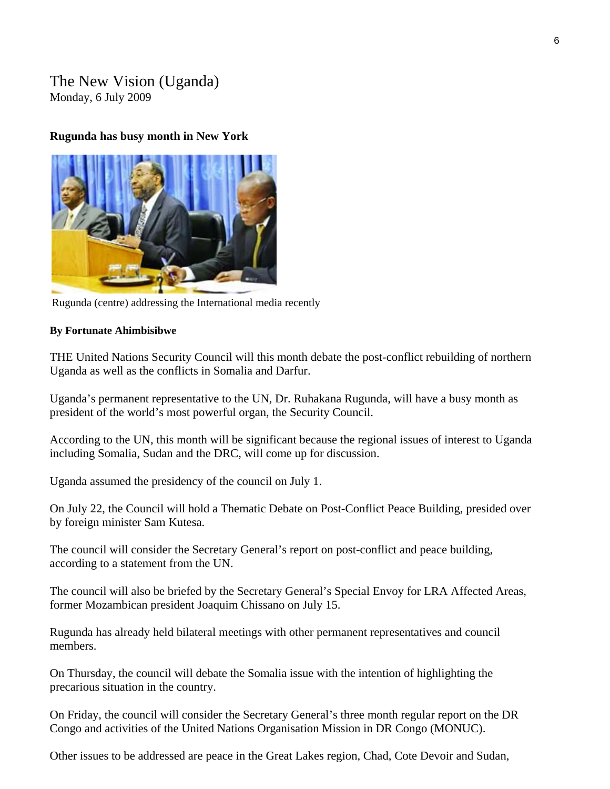#### The New Vision (Uganda) Monday, 6 July 2009

#### **Rugunda has busy month in New York**



Rugunda (centre) addressing the International media recently

#### **By Fortunate Ahimbisibwe**

THE United Nations Security Council will this month debate the post-conflict rebuilding of northern Uganda as well as the conflicts in Somalia and Darfur.

Uganda's permanent representative to the UN, Dr. Ruhakana Rugunda, will have a busy month as president of the world's most powerful organ, the Security Council.

According to the UN, this month will be significant because the regional issues of interest to Uganda including Somalia, Sudan and the DRC, will come up for discussion.

Uganda assumed the presidency of the council on July 1.

On July 22, the Council will hold a Thematic Debate on Post-Conflict Peace Building, presided over by foreign minister Sam Kutesa.

The council will consider the Secretary General's report on post-conflict and peace building, according to a statement from the UN.

The council will also be briefed by the Secretary General's Special Envoy for LRA Affected Areas, former Mozambican president Joaquim Chissano on July 15.

Rugunda has already held bilateral meetings with other permanent representatives and council members.

On Thursday, the council will debate the Somalia issue with the intention of highlighting the precarious situation in the country.

On Friday, the council will consider the Secretary General's three month regular report on the DR Congo and activities of the United Nations Organisation Mission in DR Congo (MONUC).

Other issues to be addressed are peace in the Great Lakes region, Chad, Cote Devoir and Sudan,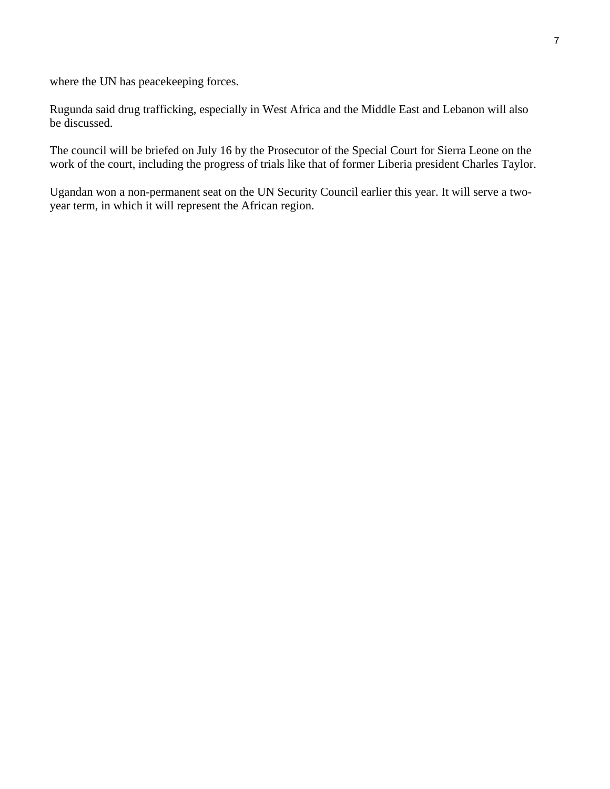where the UN has peacekeeping forces.

Rugunda said drug trafficking, especially in West Africa and the Middle East and Lebanon will also be discussed.

The council will be briefed on July 16 by the Prosecutor of the Special Court for Sierra Leone on the work of the court, including the progress of trials like that of former Liberia president Charles Taylor.

Ugandan won a non-permanent seat on the UN Security Council earlier this year. It will serve a twoyear term, in which it will represent the African region.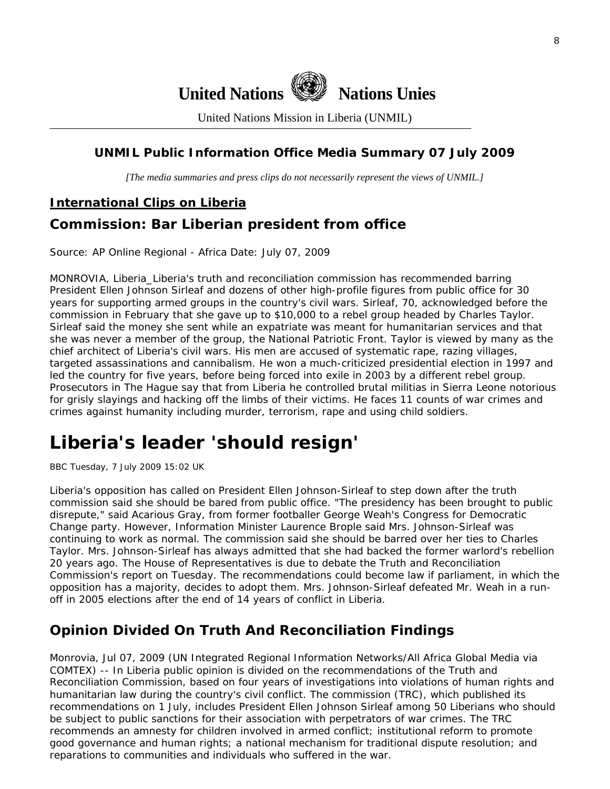

United Nations Mission in Liberia (UNMIL)

#### **UNMIL Public Information Office Media Summary 07 July 2009**

*[The media summaries and press clips do not necessarily represent the views of UNMIL.]* 

#### **International Clips on Liberia**

## **Commission: Bar Liberian president from office**

Source: AP Online Regional - Africa Date: July 07, 2009

MONROVIA, Liberia\_Liberia's truth and reconciliation commission has recommended barring President Ellen Johnson Sirleaf and dozens of other high-profile figures from public office for 30 years for supporting armed groups in the country's civil wars. Sirleaf, 70, acknowledged before the commission in February that she gave up to \$10,000 to a rebel group headed by Charles Taylor. Sirleaf said the money she sent while an expatriate was meant for humanitarian services and that she was never a member of the group, the National Patriotic Front. Taylor is viewed by many as the chief architect of Liberia's civil wars. His men are accused of systematic rape, razing villages, targeted assassinations and cannibalism. He won a much-criticized presidential election in 1997 and led the country for five years, before being forced into exile in 2003 by a different rebel group. Prosecutors in The Hague say that from Liberia he controlled brutal militias in Sierra Leone notorious for grisly slayings and hacking off the limbs of their victims. He faces 11 counts of war crimes and crimes against humanity including murder, terrorism, rape and using child soldiers.

# **Liberia's leader 'should resign'**

BBC Tuesday, 7 July 2009 15:02 UK

Liberia's opposition has called on President Ellen Johnson-Sirleaf to step down after the truth commission said she should be bared from public office. "The presidency has been brought to public disrepute," said Acarious Gray, from former footballer George Weah's Congress for Democratic Change party. However, Information Minister Laurence Brople said Mrs. Johnson-Sirleaf was continuing to work as normal. The commission said she should be barred over her ties to Charles Taylor. Mrs. Johnson-Sirleaf has always admitted that she had backed the former warlord's rebellion 20 years ago. The House of Representatives is due to debate the Truth and Reconciliation Commission's report on Tuesday. The recommendations could become law if parliament, in which the opposition has a majority, decides to adopt them. Mrs. Johnson-Sirleaf defeated Mr. Weah in a runoff in 2005 elections after the end of 14 years of conflict in Liberia.

## **Opinion Divided On Truth And Reconciliation Findings**

Monrovia, Jul 07, 2009 (UN Integrated Regional Information Networks/All Africa Global Media via COMTEX) -- In Liberia public opinion is divided on the recommendations of the Truth and Reconciliation Commission, based on four years of investigations into violations of human rights and humanitarian law during the country's civil conflict. The commission (TRC), which published its recommendations on 1 July, includes President Ellen Johnson Sirleaf among 50 Liberians who should be subject to public sanctions for their association with perpetrators of war crimes. The TRC recommends an amnesty for children involved in armed conflict; institutional reform to promote good governance and human rights; a national mechanism for traditional dispute resolution; and reparations to communities and individuals who suffered in the war.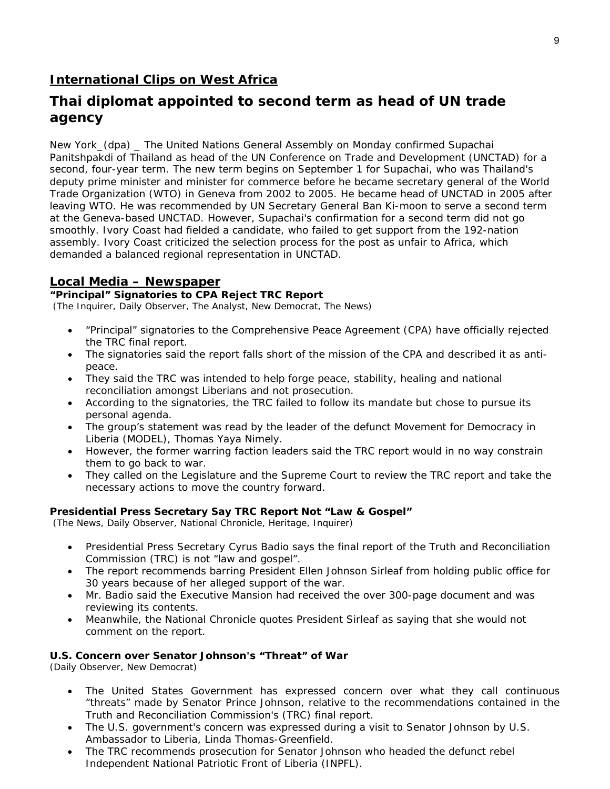#### **International Clips on West Africa**

#### **Thai diplomat appointed to second term as head of UN trade agency**

New York\_(dpa) \_ The United Nations General Assembly on Monday confirmed Supachai Panitshpakdi of Thailand as head of the UN Conference on Trade and Development (UNCTAD) for a second, four-year term. The new term begins on September 1 for Supachai, who was Thailand's deputy prime minister and minister for commerce before he became secretary general of the World Trade Organization (WTO) in Geneva from 2002 to 2005. He became head of UNCTAD in 2005 after leaving WTO. He was recommended by UN Secretary General Ban Ki-moon to serve a second term at the Geneva-based UNCTAD. However, Supachai's confirmation for a second term did not go smoothly. Ivory Coast had fielded a candidate, who failed to get support from the 192-nation assembly. Ivory Coast criticized the selection process for the post as unfair to Africa, which demanded a balanced regional representation in UNCTAD.

#### **Local Media – Newspaper**

#### **"Principal" Signatories to CPA Reject TRC Report**

(The Inquirer, Daily Observer, The Analyst, New Democrat, The News)

- "Principal" signatories to the Comprehensive Peace Agreement (CPA) have officially rejected the TRC final report.
- The signatories said the report falls short of the mission of the CPA and described it as antipeace.
- They said the TRC was intended to help forge peace, stability, healing and national reconciliation amongst Liberians and not prosecution.
- According to the signatories, the TRC failed to follow its mandate but chose to pursue its personal agenda.
- The group's statement was read by the leader of the defunct Movement for Democracy in Liberia (MODEL), Thomas Yaya Nimely.
- However, the former warring faction leaders said the TRC report would in no way constrain them to go back to war.
- They called on the Legislature and the Supreme Court to review the TRC report and take the necessary actions to move the country forward.

#### **Presidential Press Secretary Say TRC Report Not "Law & Gospel"**

(The News, Daily Observer, National Chronicle, Heritage, Inquirer)

- Presidential Press Secretary Cyrus Badio says the final report of the Truth and Reconciliation Commission (TRC) is not "law and gospel".
- The report recommends barring President Ellen Johnson Sirleaf from holding public office for 30 years because of her alleged support of the war.
- Mr. Badio said the Executive Mansion had received the over 300-page document and was reviewing its contents.
- Meanwhile, the National Chronicle quotes President Sirleaf as saying that she would not comment on the report.

#### **U.S. Concern over Senator Johnson's "Threat" of War**

(Daily Observer, New Democrat)

- The United States Government has expressed concern over what they call continuous "threats" made by Senator Prince Johnson, relative to the recommendations contained in the Truth and Reconciliation Commission's (TRC) final report.
- The U.S. government's concern was expressed during a visit to Senator Johnson by U.S. Ambassador to Liberia, Linda Thomas-Greenfield.
- The TRC recommends prosecution for Senator Johnson who headed the defunct rebel Independent National Patriotic Front of Liberia (INPFL).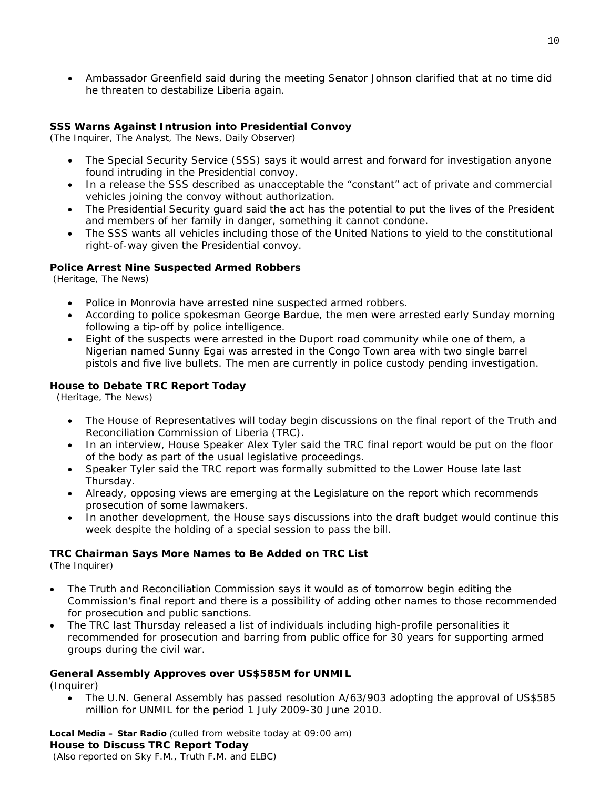• Ambassador Greenfield said during the meeting Senator Johnson clarified that at no time did he threaten to destabilize Liberia again.

#### **SSS Warns Against Intrusion into Presidential Convoy**

(The Inquirer, The Analyst, The News, Daily Observer)

- The Special Security Service (SSS) says it would arrest and forward for investigation anyone found intruding in the Presidential convoy.
- In a release the SSS described as unacceptable the "constant" act of private and commercial vehicles joining the convoy without authorization.
- The Presidential Security guard said the act has the potential to put the lives of the President and members of her family in danger, something it cannot condone.
- The SSS wants all vehicles including those of the United Nations to yield to the constitutional right-of-way given the Presidential convoy.

#### **Police Arrest Nine Suspected Armed Robbers**

(Heritage, The News)

- Police in Monrovia have arrested nine suspected armed robbers.
- According to police spokesman George Bardue, the men were arrested early Sunday morning following a tip-off by police intelligence.
- Eight of the suspects were arrested in the Duport road community while one of them, a Nigerian named Sunny Egai was arrested in the Congo Town area with two single barrel pistols and five live bullets. The men are currently in police custody pending investigation.

#### **House to Debate TRC Report Today**

(Heritage, The News)

- The House of Representatives will today begin discussions on the final report of the Truth and Reconciliation Commission of Liberia (TRC).
- In an interview, House Speaker Alex Tyler said the TRC final report would be put on the floor of the body as part of the usual legislative proceedings.
- Speaker Tyler said the TRC report was formally submitted to the Lower House late last Thursday.
- Already, opposing views are emerging at the Legislature on the report which recommends prosecution of some lawmakers.
- In another development, the House says discussions into the draft budget would continue this week despite the holding of a special session to pass the bill.

#### **TRC Chairman Says More Names to Be Added on TRC List**

(The Inquirer)

- The Truth and Reconciliation Commission says it would as of tomorrow begin editing the Commission's final report and there is a possibility of adding other names to those recommended for prosecution and public sanctions.
- The TRC last Thursday released a list of individuals including high-profile personalities it recommended for prosecution and barring from public office for 30 years for supporting armed groups during the civil war.

#### **General Assembly Approves over US\$585M for UNMIL**

(Inquirer)

• The U.N. General Assembly has passed resolution A/63/903 adopting the approval of US\$585 million for UNMIL for the period 1 July 2009-30 June 2010.

**Local Media – Star Radio** *(culled from website today at 09:00 am)*  **House to Discuss TRC Report Today**   *(Also reported on Sky F.M., Truth F.M. and ELBC)*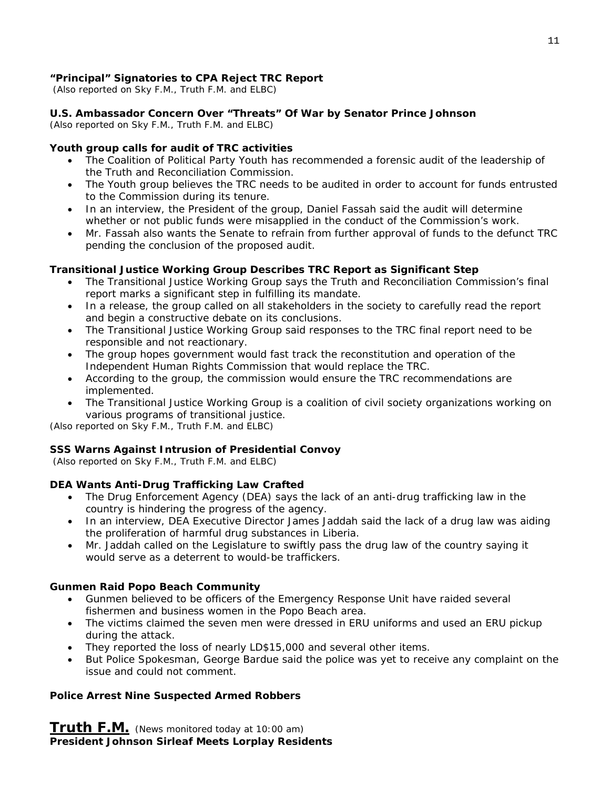#### **"Principal" Signatories to CPA Reject TRC Report**

 *(Also reported on Sky F.M., Truth F.M. and ELBC)*

#### **U.S. Ambassador Concern Over "Threats" Of War by Senator Prince Johnson**

*(Also reported on Sky F.M., Truth F.M. and ELBC)*

#### **Youth group calls for audit of TRC activities**

- The Coalition of Political Party Youth has recommended a forensic audit of the leadership of the Truth and Reconciliation Commission.
- The Youth group believes the TRC needs to be audited in order to account for funds entrusted to the Commission during its tenure.
- In an interview, the President of the group, Daniel Fassah said the audit will determine whether or not public funds were misapplied in the conduct of the Commission's work.
- Mr. Fassah also wants the Senate to refrain from further approval of funds to the defunct TRC pending the conclusion of the proposed audit.

#### **Transitional Justice Working Group Describes TRC Report as Significant Step**

- The Transitional Justice Working Group says the Truth and Reconciliation Commission's final report marks a significant step in fulfilling its mandate.
- In a release, the group called on all stakeholders in the society to carefully read the report and begin a constructive debate on its conclusions.
- The Transitional Justice Working Group said responses to the TRC final report need to be responsible and not reactionary.
- The group hopes government would fast track the reconstitution and operation of the Independent Human Rights Commission that would replace the TRC.
- According to the group, the commission would ensure the TRC recommendations are implemented.
- The Transitional Justice Working Group is a coalition of civil society organizations working on various programs of transitional justice.

*(Also reported on Sky F.M., Truth F.M. and ELBC)*

#### **SSS Warns Against Intrusion of Presidential Convoy**

 *(Also reported on Sky F.M., Truth F.M. and ELBC)*

#### **DEA Wants Anti-Drug Trafficking Law Crafted**

- The Drug Enforcement Agency (DEA) says the lack of an anti-drug trafficking law in the country is hindering the progress of the agency.
- In an interview, DEA Executive Director James Jaddah said the lack of a drug law was aiding the proliferation of harmful drug substances in Liberia.
- Mr. Jaddah called on the Legislature to swiftly pass the drug law of the country saying it would serve as a deterrent to would-be traffickers.

#### **Gunmen Raid Popo Beach Community**

- Gunmen believed to be officers of the Emergency Response Unit have raided several fishermen and business women in the Popo Beach area.
- The victims claimed the seven men were dressed in ERU uniforms and used an ERU pickup during the attack.
- They reported the loss of nearly LD\$15,000 and several other items.
- But Police Spokesman, George Bardue said the police was yet to receive any complaint on the issue and could not comment.

#### **Police Arrest Nine Suspected Armed Robbers**

**Truth F.M.** *(News monitored today at 10:00 am)*  **President Johnson Sirleaf Meets Lorplay Residents**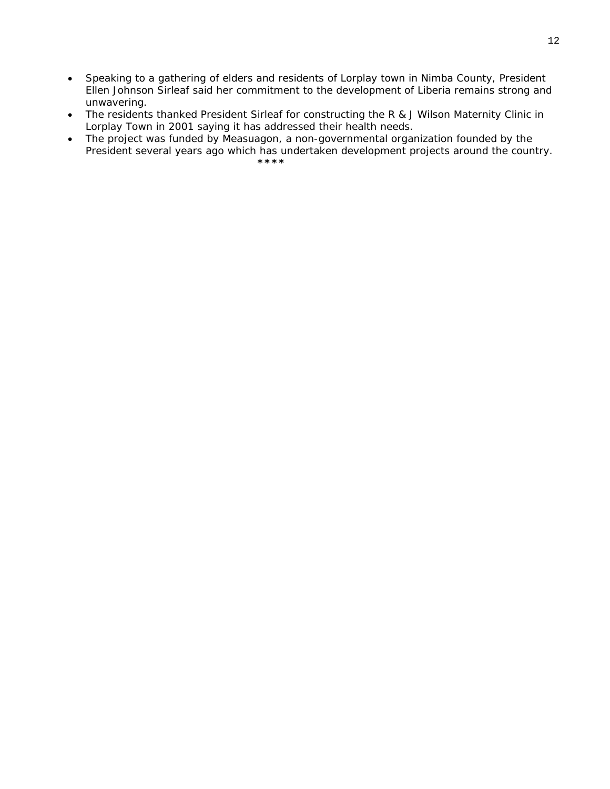- Speaking to a gathering of elders and residents of Lorplay town in Nimba County, President Ellen Johnson Sirleaf said her commitment to the development of Liberia remains strong and unwavering.
- The residents thanked President Sirleaf for constructing the R & J Wilson Maternity Clinic in Lorplay Town in 2001 saying it has addressed their health needs.
- The project was funded by Measuagon, a non-governmental organization founded by the President several years ago which has undertaken development projects around the country.<br>\*\*\*\*  **\*\*\*\***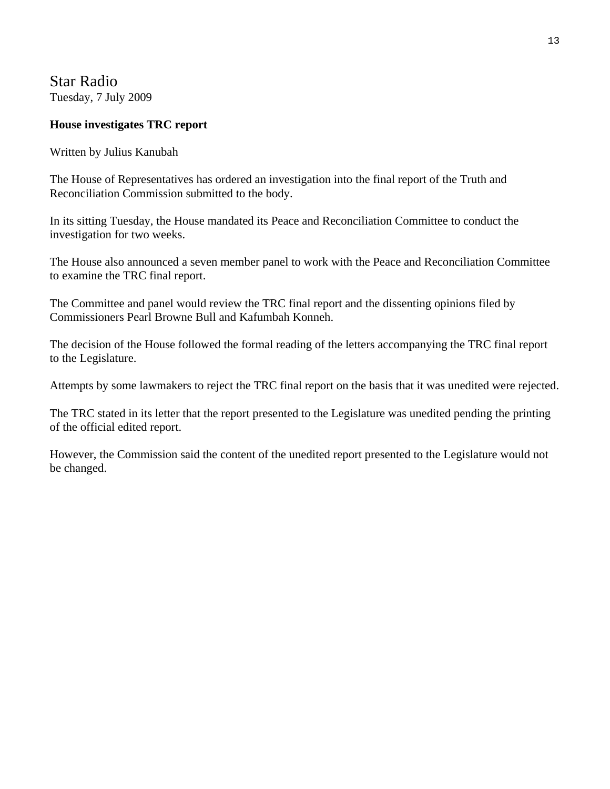Star Radio Tuesday, 7 July 2009

#### **House investigates TRC report**

Written by Julius Kanubah

The House of Representatives has ordered an investigation into the final report of the Truth and Reconciliation Commission submitted to the body.

In its sitting Tuesday, the House mandated its Peace and Reconciliation Committee to conduct the investigation for two weeks.

The House also announced a seven member panel to work with the Peace and Reconciliation Committee to examine the TRC final report.

The Committee and panel would review the TRC final report and the dissenting opinions filed by Commissioners Pearl Browne Bull and Kafumbah Konneh.

The decision of the House followed the formal reading of the letters accompanying the TRC final report to the Legislature.

Attempts by some lawmakers to reject the TRC final report on the basis that it was unedited were rejected.

The TRC stated in its letter that the report presented to the Legislature was unedited pending the printing of the official edited report.

However, the Commission said the content of the unedited report presented to the Legislature would not be changed.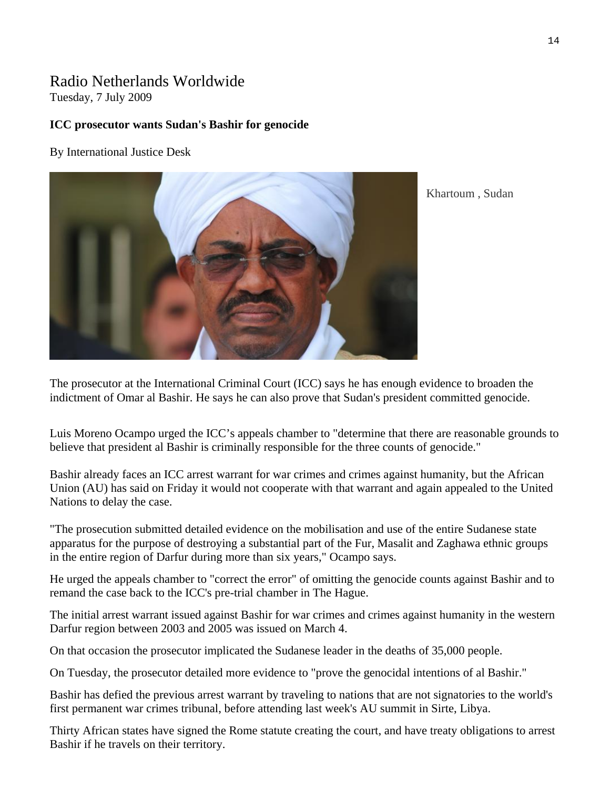# Radio Netherlands Worldwide

Tuesday, 7 July 2009

#### **ICC prosecutor wants Sudan's Bashir for genocide**

By International Justice Desk



Khartoum , Sudan

The prosecutor at the International Criminal Court (ICC) says he has enough evidence to broaden the indictment of Omar al Bashir. He says he can also prove that Sudan's president committed genocide.

Luis Moreno Ocampo urged the ICC's appeals chamber to "determine that there are reasonable grounds to believe that president al Bashir is criminally responsible for the three counts of genocide."

Bashir already faces an ICC arrest warrant for war crimes and crimes against humanity, but the African Union (AU) has said on Friday it would not cooperate with that warrant and again appealed to the United Nations to delay the case.

"The prosecution submitted detailed evidence on the mobilisation and use of the entire Sudanese state apparatus for the purpose of destroying a substantial part of the Fur, Masalit and Zaghawa ethnic groups in the entire region of Darfur during more than six years," Ocampo says.

He urged the appeals chamber to "correct the error" of omitting the genocide counts against Bashir and to remand the case back to the ICC's pre-trial chamber in The Hague.

The initial arrest warrant issued against Bashir for war crimes and crimes against humanity in the western Darfur region between 2003 and 2005 was issued on March 4.

On that occasion the prosecutor implicated the Sudanese leader in the deaths of 35,000 people.

On Tuesday, the prosecutor detailed more evidence to "prove the genocidal intentions of al Bashir."

Bashir has defied the previous arrest warrant by traveling to nations that are not signatories to the world's first permanent war crimes tribunal, before attending last week's AU summit in Sirte, Libya.

Thirty African states have signed the Rome statute creating the court, and have treaty obligations to arrest Bashir if he travels on their territory.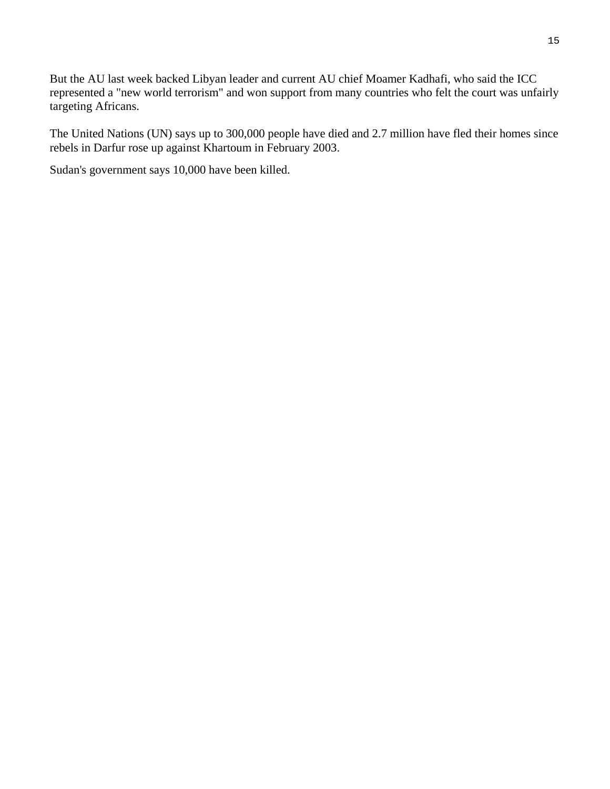But the AU last week backed Libyan leader and current AU chief Moamer Kadhafi, who said the ICC represented a "new world terrorism" and won support from many countries who felt the court was unfairly targeting Africans.

The United Nations (UN) says up to 300,000 people have died and 2.7 million have fled their homes since rebels in Darfur rose up against Khartoum in February 2003.

Sudan's government says 10,000 have been killed.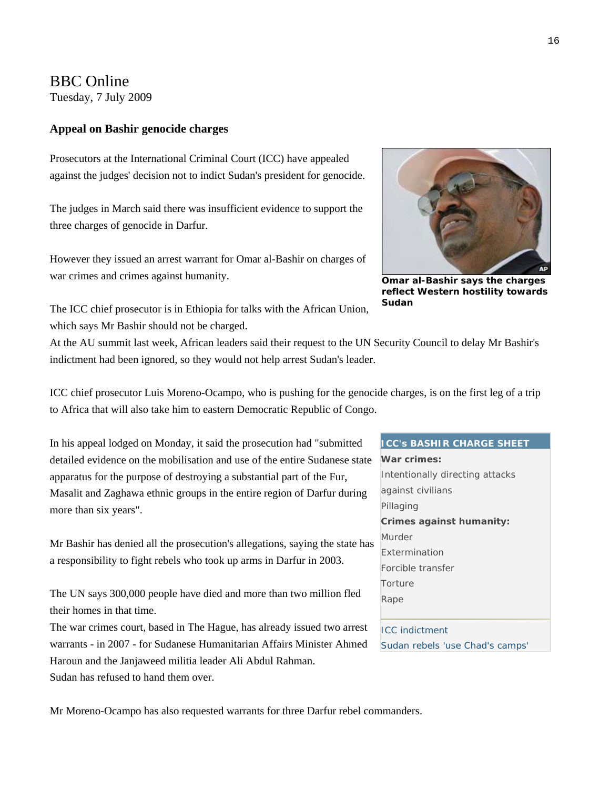#### BBC Online

Tuesday, 7 July 2009

#### **Appeal on Bashir genocide charges**

Prosecutors at the International Criminal Court (ICC) have appealed against the judges' decision not to indict Sudan's president for genocide.

The judges in March said there was insufficient evidence to support the three charges of genocide in Darfur.

However they issued an arrest warrant for Omar al-Bashir on charges of war crimes and crimes against humanity.



**Omar al-Bashir says the charges reflect Western hostility towards Sudan** 

The ICC chief prosecutor is in Ethiopia for talks with the African Union, which says Mr Bashir should not be charged.

At the AU summit last week, African leaders said their request to the UN Security Council to delay Mr Bashir's indictment had been ignored, so they would not help arrest Sudan's leader.

ICC chief prosecutor Luis Moreno-Ocampo, who is pushing for the genocide charges, is on the first leg of a trip to Africa that will also take him to eastern Democratic Republic of Congo.

In his appeal lodged on Monday, it said the prosecution had "submitted detailed evidence on the mobilisation and use of the entire Sudanese state apparatus for the purpose of destroying a substantial part of the Fur, Masalit and Zaghawa ethnic groups in the entire region of Darfur during more than six years".

Mr Bashir has denied all the prosecution's allegations, saying the state has a responsibility to fight rebels who took up arms in Darfur in 2003.

The UN says 300,000 people have died and more than two million fled their homes in that time.

The war crimes court, based in The Hague, has already issued two arrest warrants - in 2007 - for Sudanese Humanitarian Affairs Minister Ahmed Haroun and the Janjaweed militia leader Ali Abdul Rahman.

Sudan has refused to hand them over.

# **ICC's BASHIR CHARGE SHEET War crimes:** Intentionally directing attacks against civilians Pillaging **Crimes against humanity:** Murder Extermination Forcible transfer **Torture** Rape [ICC indictment](http://news.bbc.co.uk/2/hi/africa/7924195.stm)  [Sudan rebels 'use Chad's camps'](http://news.bbc.co.uk/2/hi/africa/8137779.stm)

Mr Moreno-Ocampo has also requested warrants for three Darfur rebel commanders.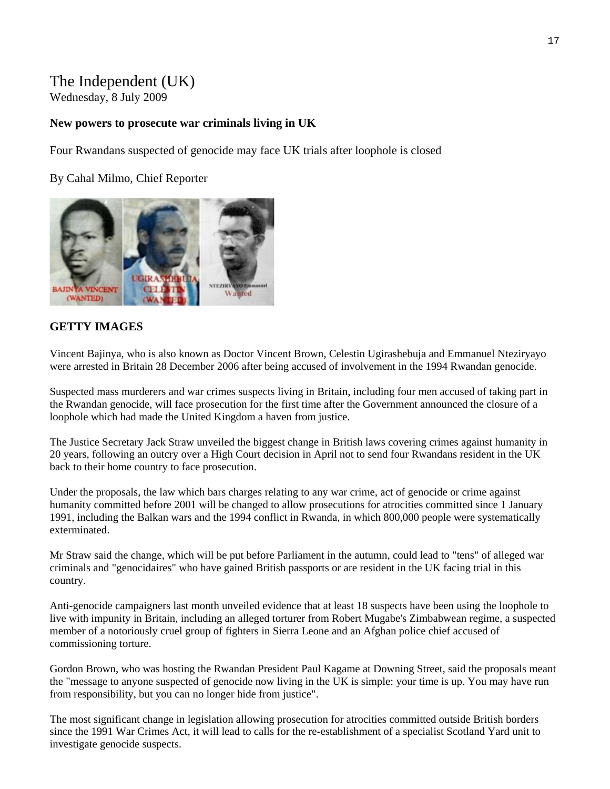# The Independent (UK)

Wednesday, 8 July 2009

#### **New powers to prosecute war criminals living in UK**

Four Rwandans suspected of genocide may face UK trials after loophole is closed

By Cahal Milmo, Chief Reporter



#### **GETTY IMAGES**

Vincent Bajinya, who is also known as Doctor Vincent Brown, Celestin Ugirashebuja and Emmanuel Nteziryayo were arrested in Britain 28 December 2006 after being accused of involvement in the 1994 Rwandan genocide.

Suspected mass murderers and war crimes suspects living in Britain, including four men accused of taking part in the Rwandan genocide, will face prosecution for the first time after the Government announced the closure of a loophole which had made the United Kingdom a haven from justice.

The Justice Secretary Jack Straw unveiled the biggest change in British laws covering crimes against humanity in 20 years, following an outcry over a High Court decision in April not to send four Rwandans resident in the UK back to their home country to face prosecution.

Under the proposals, the law which bars charges relating to any war crime, act of genocide or crime against humanity committed before 2001 will be changed to allow prosecutions for atrocities committed since 1 January 1991, including the Balkan wars and the 1994 conflict in Rwanda, in which 800,000 people were systematically exterminated.

Mr Straw said the change, which will be put before Parliament in the autumn, could lead to "tens" of alleged war criminals and "genocidaires" who have gained British passports or are resident in the UK facing trial in this country.

Anti-genocide campaigners last month unveiled evidence that at least 18 suspects have been using the loophole to live with impunity in Britain, including an alleged torturer from Robert Mugabe's Zimbabwean regime, a suspected member of a notoriously cruel group of fighters in Sierra Leone and an Afghan police chief accused of commissioning torture.

Gordon Brown, who was hosting the Rwandan President Paul Kagame at Downing Street, said the proposals meant the "message to anyone suspected of genocide now living in the UK is simple: your time is up. You may have run from responsibility, but you can no longer hide from justice".

The most significant change in legislation allowing prosecution for atrocities committed outside British borders since the 1991 War Crimes Act, it will lead to calls for the re-establishment of a specialist Scotland Yard unit to investigate genocide suspects.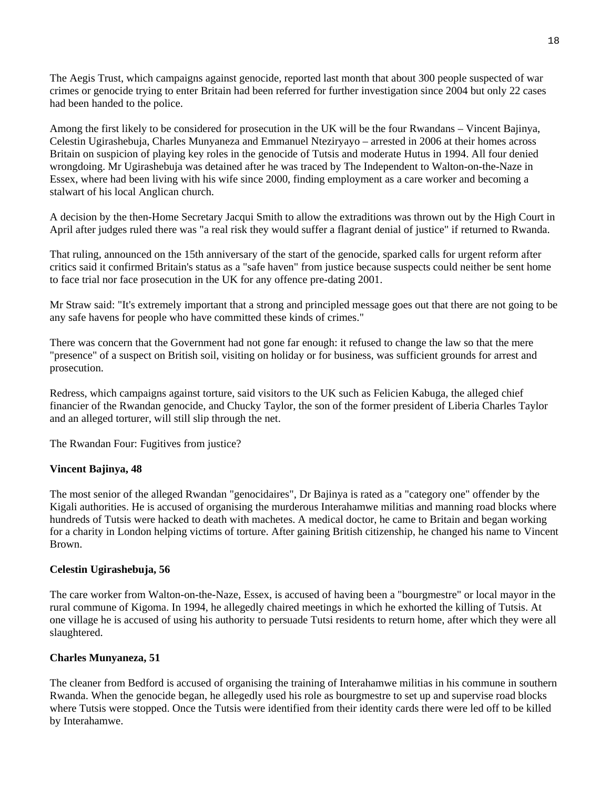The Aegis Trust, which campaigns against genocide, reported last month that about 300 people suspected of war crimes or genocide trying to enter Britain had been referred for further investigation since 2004 but only 22 cases had been handed to the police.

Among the first likely to be considered for prosecution in the UK will be the four Rwandans – Vincent Bajinya, Celestin Ugirashebuja, Charles Munyaneza and Emmanuel Nteziryayo – arrested in 2006 at their homes across Britain on suspicion of playing key roles in the genocide of Tutsis and moderate Hutus in 1994. All four denied wrongdoing. Mr Ugirashebuja was detained after he was traced by The Independent to Walton-on-the-Naze in Essex, where had been living with his wife since 2000, finding employment as a care worker and becoming a stalwart of his local Anglican church.

A decision by the then-Home Secretary Jacqui Smith to allow the extraditions was thrown out by the High Court in April after judges ruled there was "a real risk they would suffer a flagrant denial of justice" if returned to Rwanda.

That ruling, announced on the 15th anniversary of the start of the genocide, sparked calls for urgent reform after critics said it confirmed Britain's status as a "safe haven" from justice because suspects could neither be sent home to face trial nor face prosecution in the UK for any offence pre-dating 2001.

Mr Straw said: "It's extremely important that a strong and principled message goes out that there are not going to be any safe havens for people who have committed these kinds of crimes."

There was concern that the Government had not gone far enough: it refused to change the law so that the mere "presence" of a suspect on British soil, visiting on holiday or for business, was sufficient grounds for arrest and prosecution.

Redress, which campaigns against torture, said visitors to the UK such as Felicien Kabuga, the alleged chief financier of the Rwandan genocide, and Chucky Taylor, the son of the former president of Liberia Charles Taylor and an alleged torturer, will still slip through the net.

The Rwandan Four: Fugitives from justice?

#### **Vincent Bajinya, 48**

The most senior of the alleged Rwandan "genocidaires", Dr Bajinya is rated as a "category one" offender by the Kigali authorities. He is accused of organising the murderous Interahamwe militias and manning road blocks where hundreds of Tutsis were hacked to death with machetes. A medical doctor, he came to Britain and began working for a charity in London helping victims of torture. After gaining British citizenship, he changed his name to Vincent Brown.

#### **Celestin Ugirashebuja, 56**

The care worker from Walton-on-the-Naze, Essex, is accused of having been a "bourgmestre" or local mayor in the rural commune of Kigoma. In 1994, he allegedly chaired meetings in which he exhorted the killing of Tutsis. At one village he is accused of using his authority to persuade Tutsi residents to return home, after which they were all slaughtered.

#### **Charles Munyaneza, 51**

The cleaner from Bedford is accused of organising the training of Interahamwe militias in his commune in southern Rwanda. When the genocide began, he allegedly used his role as bourgmestre to set up and supervise road blocks where Tutsis were stopped. Once the Tutsis were identified from their identity cards there were led off to be killed by Interahamwe.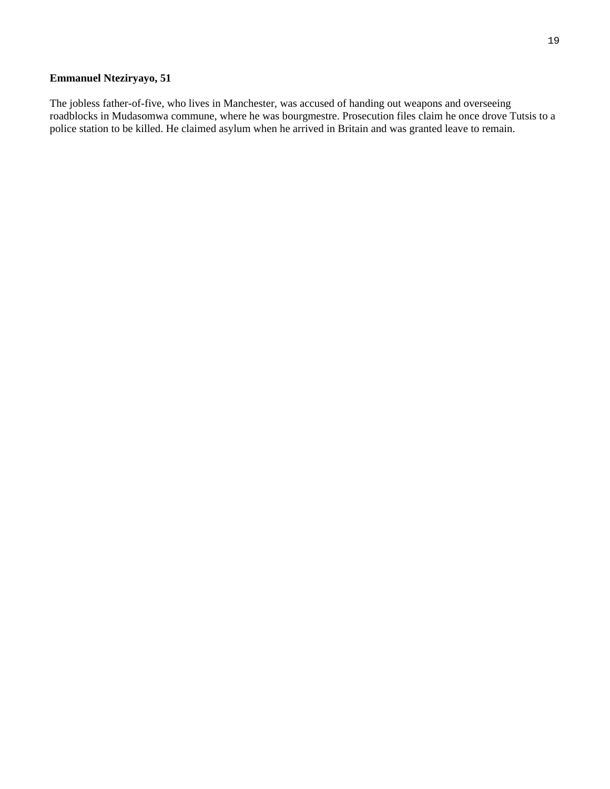#### **Emmanuel Nteziryayo, 51**

The jobless father-of-five, who lives in Manchester, was accused of handing out weapons and overseeing roadblocks in Mudasomwa commune, where he was bourgmestre. Prosecution files claim he once drove Tutsis to a police station to be killed. He claimed asylum when he arrived in Britain and was granted leave to remain.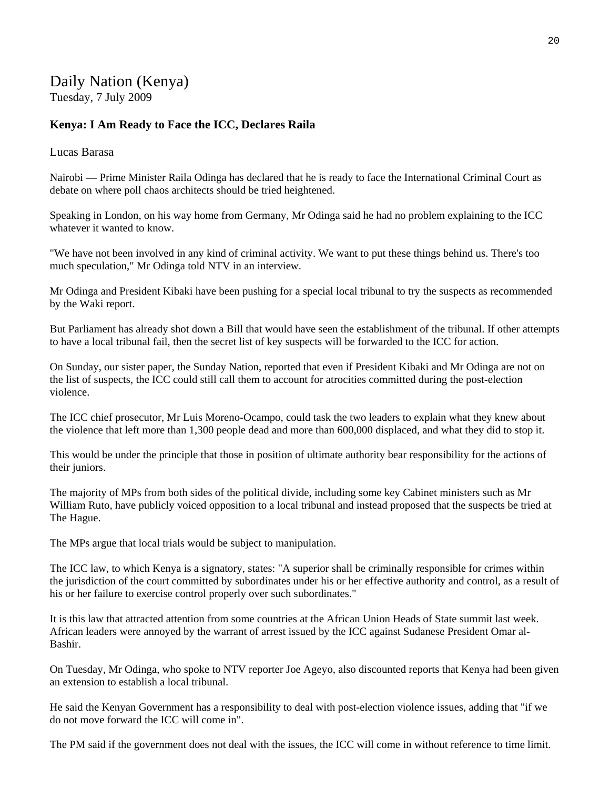# Daily Nation (Kenya)

Tuesday, 7 July 2009

#### **Kenya: I Am Ready to Face the ICC, Declares Raila**

#### Lucas Barasa

Nairobi — Prime Minister Raila Odinga has declared that he is ready to face the International Criminal Court as debate on where poll chaos architects should be tried heightened.

Speaking in London, on his way home from Germany, Mr Odinga said he had no problem explaining to the ICC whatever it wanted to know.

"We have not been involved in any kind of criminal activity. We want to put these things behind us. There's too much speculation," Mr Odinga told NTV in an interview.

Mr Odinga and President Kibaki have been pushing for a special local tribunal to try the suspects as recommended by the Waki report.

But Parliament has already shot down a Bill that would have seen the establishment of the tribunal. If other attempts to have a local tribunal fail, then the secret list of key suspects will be forwarded to the ICC for action.

On Sunday, our sister paper, the Sunday Nation, reported that even if President Kibaki and Mr Odinga are not on the list of suspects, the ICC could still call them to account for atrocities committed during the post-election violence.

The ICC chief prosecutor, Mr Luis Moreno-Ocampo, could task the two leaders to explain what they knew about the violence that left more than 1,300 people dead and more than 600,000 displaced, and what they did to stop it.

This would be under the principle that those in position of ultimate authority bear responsibility for the actions of their juniors.

The majority of MPs from both sides of the political divide, including some key Cabinet ministers such as Mr William Ruto, have publicly voiced opposition to a local tribunal and instead proposed that the suspects be tried at The Hague.

The MPs argue that local trials would be subject to manipulation.

The ICC law, to which Kenya is a signatory, states: "A superior shall be criminally responsible for crimes within the jurisdiction of the court committed by subordinates under his or her effective authority and control, as a result of his or her failure to exercise control properly over such subordinates."

It is this law that attracted attention from some countries at the African Union Heads of State summit last week. African leaders were annoyed by the warrant of arrest issued by the ICC against Sudanese President Omar al-Bashir.

On Tuesday, Mr Odinga, who spoke to NTV reporter Joe Ageyo, also discounted reports that Kenya had been given an extension to establish a local tribunal.

He said the Kenyan Government has a responsibility to deal with post-election violence issues, adding that "if we do not move forward the ICC will come in".

The PM said if the government does not deal with the issues, the ICC will come in without reference to time limit.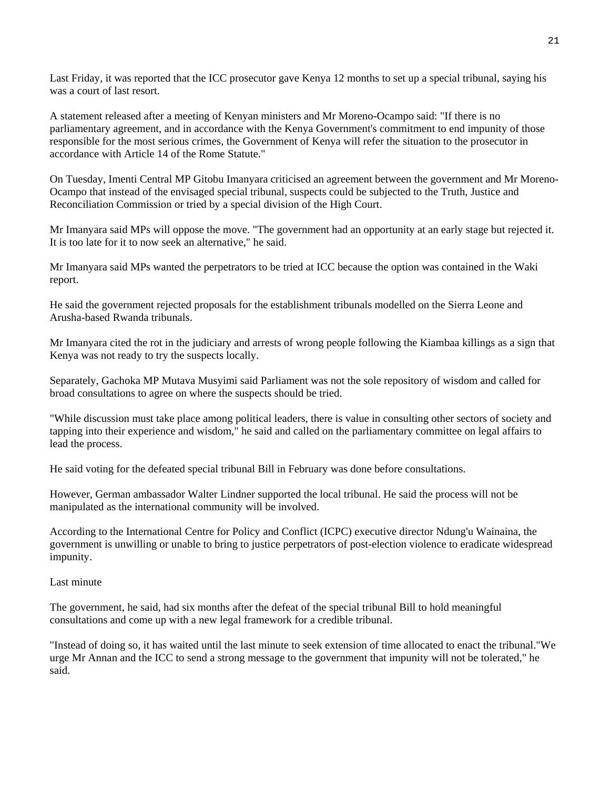Last Friday, it was reported that the ICC prosecutor gave Kenya 12 months to set up a special tribunal, saying his was a court of last resort.

A statement released after a meeting of Kenyan ministers and Mr Moreno-Ocampo said: "If there is no parliamentary agreement, and in accordance with the Kenya Government's commitment to end impunity of those responsible for the most serious crimes, the Government of Kenya will refer the situation to the prosecutor in accordance with Article 14 of the Rome Statute."

On Tuesday, Imenti Central MP Gitobu Imanyara criticised an agreement between the government and Mr Moreno-Ocampo that instead of the envisaged special tribunal, suspects could be subjected to the Truth, Justice and Reconciliation Commission or tried by a special division of the High Court.

Mr Imanyara said MPs will oppose the move. "The government had an opportunity at an early stage but rejected it. It is too late for it to now seek an alternative," he said.

Mr Imanyara said MPs wanted the perpetrators to be tried at ICC because the option was contained in the Waki report.

He said the government rejected proposals for the establishment tribunals modelled on the Sierra Leone and Arusha-based Rwanda tribunals.

Mr Imanyara cited the rot in the judiciary and arrests of wrong people following the Kiambaa killings as a sign that Kenya was not ready to try the suspects locally.

Separately, Gachoka MP Mutava Musyimi said Parliament was not the sole repository of wisdom and called for broad consultations to agree on where the suspects should be tried.

"While discussion must take place among political leaders, there is value in consulting other sectors of society and tapping into their experience and wisdom," he said and called on the parliamentary committee on legal affairs to lead the process.

He said voting for the defeated special tribunal Bill in February was done before consultations.

However, German ambassador Walter Lindner supported the local tribunal. He said the process will not be manipulated as the international community will be involved.

According to the International Centre for Policy and Conflict (ICPC) executive director Ndung'u Wainaina, the government is unwilling or unable to bring to justice perpetrators of post-election violence to eradicate widespread impunity.

#### Last minute

The government, he said, had six months after the defeat of the special tribunal Bill to hold meaningful consultations and come up with a new legal framework for a credible tribunal.

"Instead of doing so, it has waited until the last minute to seek extension of time allocated to enact the tribunal."We urge Mr Annan and the ICC to send a strong message to the government that impunity will not be tolerated," he said.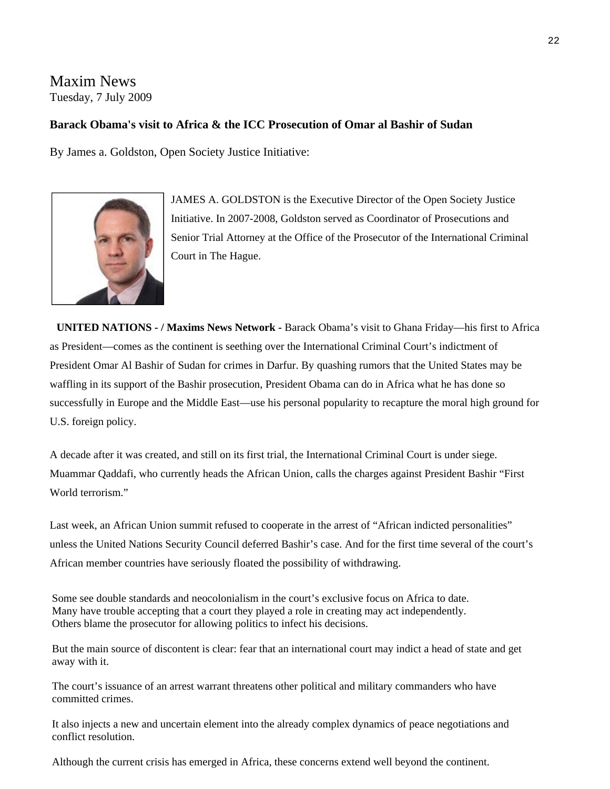#### [Maxim News](http://www.maximsnews.com/news20090707osijamesgoldstonicc10907070102.htm)  Tuesday, 7 July 2009

#### **Barack Obama's visit to Africa & the ICC Prosecution of Omar al Bashir of Sudan**

By James a. Goldston, Open Society Justice Initiative:



JAMES A. GOLDSTON is the Executive Director of the Open Society Justice Initiative. In 2007-2008, Goldston served as Coordinator of Prosecutions and Senior Trial Attorney at the Office of the Prosecutor of the International Criminal Court in The Hague.

 **UNITED NATIONS - / [Maxims News Network](http://www.maximsnews.com/) -** Barack Obama's visit to Ghana Friday—his first to Africa as President—comes as the continent is seething over the International Criminal Court's indictment of President Omar Al Bashir of Sudan for crimes in Darfur. By quashing rumors that the United States may be waffling in its support of the Bashir prosecution, President Obama can do in Africa what he has done so successfully in Europe and the Middle East—use his personal popularity to recapture the moral high ground for U.S. foreign policy.

A decade after it was created, and still on its first trial, the International Criminal Court is under siege. Muammar Qaddafi, who currently heads the African Union, calls the charges against President Bashir "First World terrorism."

Last week, an African Union summit refused to cooperate in the arrest of "African indicted personalities" unless the United Nations Security Council deferred Bashir's case. And for the first time several of the court's African member countries have seriously floated the possibility of withdrawing.

Some see double standards and neocolonialism in the court's exclusive focus on Africa to date. Many have trouble accepting that a court they played a role in creating may act independently. Others blame the prosecutor for allowing politics to infect his decisions.

But the main source of discontent is clear: fear that an international court may indict a head of state and get away with it.

The court's issuance of an arrest warrant threatens other political and military commanders who have committed crimes.

It also injects a new and uncertain element into the already complex dynamics of peace negotiations and conflict resolution.

Although the current crisis has emerged in Africa, these concerns extend well beyond the continent.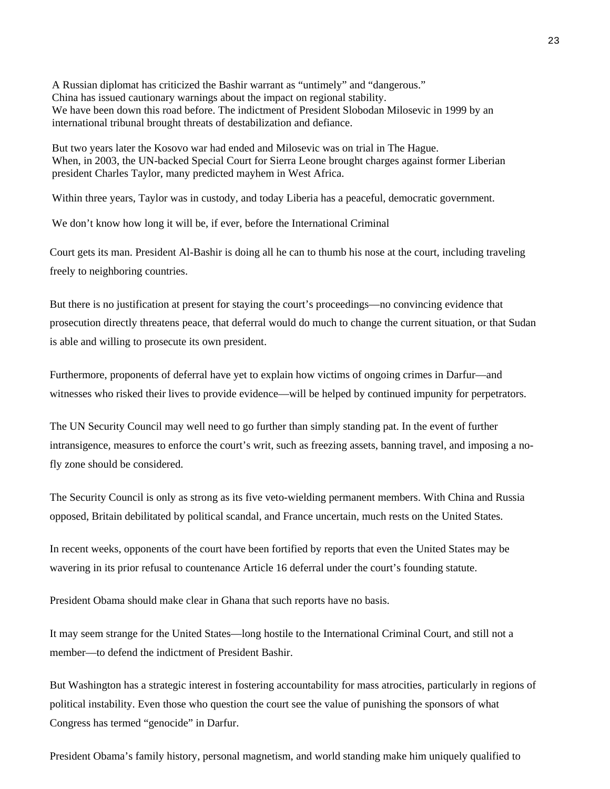A Russian diplomat has criticized the Bashir warrant as "untimely" and "dangerous." China has issued cautionary warnings about the impact on regional stability. We have been down this road before. The indictment of President Slobodan Milosevic in 1999 by an international tribunal brought threats of destabilization and defiance.

But two years later the Kosovo war had ended and Milosevic was on trial in The Hague. When, in 2003, the UN-backed Special Court for Sierra Leone brought charges against former Liberian president Charles Taylor, many predicted mayhem in West Africa.

Within three years, Taylor was in custody, and today Liberia has a peaceful, democratic government.

We don't know how long it will be, if ever, before the International Criminal

Court gets its man. President Al-Bashir is doing all he can to thumb his nose at the court, including traveling freely to neighboring countries.

But there is no justification at present for staying the court's proceedings—no convincing evidence that prosecution directly threatens peace, that deferral would do much to change the current situation, or that Sudan is able and willing to prosecute its own president.

Furthermore, proponents of deferral have yet to explain how victims of ongoing crimes in Darfur—and witnesses who risked their lives to provide evidence—will be helped by continued impunity for perpetrators.

The UN Security Council may well need to go further than simply standing pat. In the event of further intransigence, measures to enforce the court's writ, such as freezing assets, banning travel, and imposing a nofly zone should be considered.

The Security Council is only as strong as its five veto-wielding permanent members. With China and Russia opposed, Britain debilitated by political scandal, and France uncertain, much rests on the United States.

In recent weeks, opponents of the court have been fortified by reports that even the United States may be wavering in its prior refusal to countenance Article 16 deferral under the court's founding statute.

President Obama should make clear in Ghana that such reports have no basis.

It may seem strange for the United States—long hostile to the International Criminal Court, and still not a member—to defend the indictment of President Bashir.

But Washington has a strategic interest in fostering accountability for mass atrocities, particularly in regions of political instability. Even those who question the court see the value of punishing the sponsors of what Congress has termed "genocide" in Darfur.

President Obama's family history, personal magnetism, and world standing make him uniquely qualified to